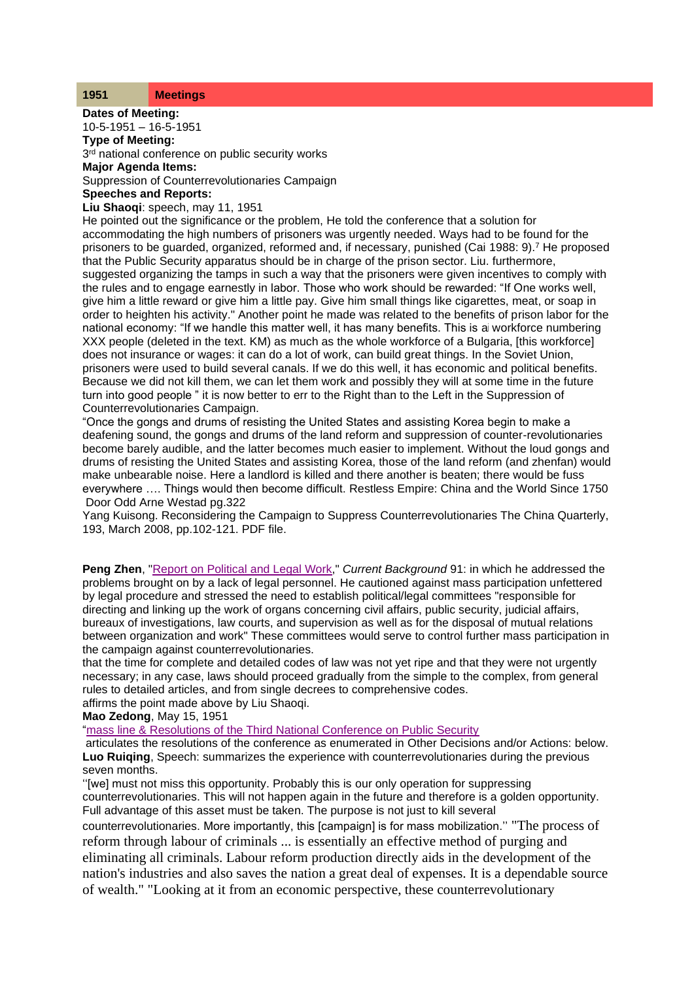| <b>Meetings</b> |
|-----------------|
|                 |

**Dates of Meeting:** 10-5-1951 – 16-5-1951 **Type of Meeting:** 3<sup>rd</sup> national conference on public security works **Major Agenda Items:** Suppression of Counterrevolutionaries Campaign **Speeches and Reports:**

**Liu Shaoqi**: speech, may 11, 1951

He pointed out the significance or the problem, He told the conference that a solution for accommodating the high numbers of prisoners was urgently needed. Ways had to be found for the prisoners to be guarded, organized, reformed and, if necessary, punished (Cai 1988: 9).<sup>7</sup> He proposed that the Public Security apparatus should be in charge of the prison sector. Liu. furthermore, suggested organizing the tamps in such a way that the prisoners were given incentives to comply with the rules and to engage earnestly in labor. Those who work should be rewarded: "If One works well, give him a little reward or give him a little pay. Give him small things like cigarettes, meat, or soap in order to heighten his activity." Another point he made was related to the benefits of prison labor for the national economy: "If we handle this matter well, it has many benefits. This is ai workforce numbering XXX people (deleted in the text. KM) as much as the whole workforce of a Bulgaria, [this workforce] does not insurance or wages: it can do a lot of work, can build great things. In the Soviet Union, prisoners were used to build several canals. If we do this well, it has economic and political benefits. Because we did not kill them, we can let them work and possibly they will at some time in the future turn into good people " it is now better to err to the Right than to the Left in the Suppression of Counterrevolutionaries Campaign.

"Once the gongs and drums of resisting the United States and assisting Korea begin to make a deafening sound, the gongs and drums of the land reform and suppression of counter-revolutionaries become barely audible, and the latter becomes much easier to implement. Without the loud gongs and drums of resisting the United States and assisting Korea, those of the land reform (and zhenfan) would make unbearable noise. Here a landlord is killed and there another is beaten; there would be fuss everywhere …. Things would then become difficult. Restless Empire: China and the World Since 1750 Door Odd Arne Westad pg.322

Yang Kuisong. Reconsidering the Campaign to Suppress Counterrevolutionaries The China Quarterly, 193, March 2008, pp.102-121. PDF file.

**Peng Zhen**, ["Report on Political and Legal Work,](http://www.commonprogram.science/documents/Peng%20Zhen.pdf)" *Current Background* 91: in which he addressed the problems brought on by a lack of legal personnel. He cautioned against mass participation unfettered by legal procedure and stressed the need to establish political/legal committees "responsible for directing and linking up the work of organs concerning civil affairs, public security, judicial affairs, bureaux of investigations, law courts, and supervision as well as for the disposal of mutual relations between organization and work" These committees would serve to control further mass participation in the campaign against counterrevolutionaries.

that the time for complete and detailed codes of law was not yet ripe and that they were not urgently necessary; in any case, laws should proceed gradually from the simple to the complex, from general rules to detailed articles, and from single decrees to comprehensive codes. affirms the point made above by Liu Shaoqi.

**Mao Zedong**, May 15, 1951

["mass line & Resolutions of the Third National Conference on Public Security](http://www.commonprogram.science/documents/massline.pdf)

articulates the resolutions of the conference as enumerated in Other Decisions and/or Actions: below. **Luo Ruiqing**, Speech: summarizes the experience with counterrevolutionaries during the previous seven months.

''[we] must not miss this opportunity. Probably this is our only operation for suppressing counterrevolutionaries. This will not happen again in the future and therefore is a golden opportunity. Full advantage of this asset must be taken. The purpose is not just to kill several

counterrevolutionaries. More importantly, this [campaign] is for mass mobilization.'' "The process of reform through labour of criminals ... is essentially an effective method of purging and eliminating all criminals. Labour reform production directly aids in the development of the nation's industries and also saves the nation a great deal of expenses. It is a dependable source of wealth." "Looking at it from an economic perspective, these counterrevolutionary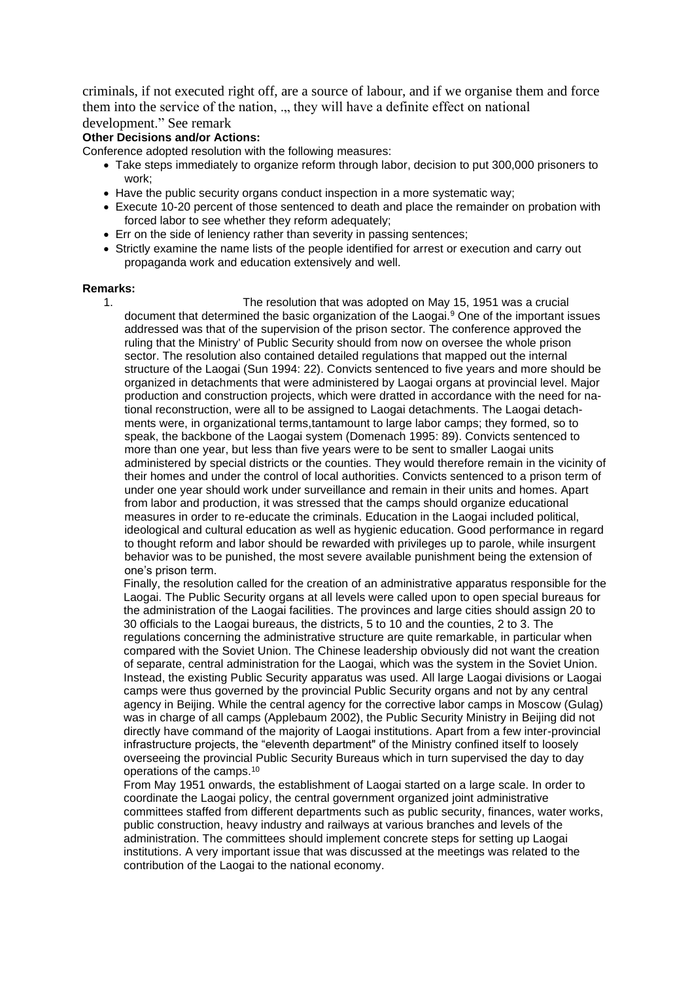criminals, if not executed right off, are a source of labour, and if we organise them and force them into the service of the nation, ." they will have a definite effect on national development." See remark

## **Other Decisions and/or Actions:**

Conference adopted resolution with the following measures:

- Take steps immediately to organize reform through labor, decision to put 300,000 prisoners to work;
- Have the public security organs conduct inspection in a more systematic way:
- Execute 10-20 percent of those sentenced to death and place the remainder on probation with forced labor to see whether they reform adequately;
- Err on the side of leniency rather than severity in passing sentences;
- Strictly examine the name lists of the people identified for arrest or execution and carry out propaganda work and education extensively and well.

## **Remarks:**

1. The resolution that was adopted on May 15, 1951 was a crucial document that determined the basic organization of the Laogai.<sup>9</sup> One of the important issues addressed was that of the supervision of the prison sector. The conference approved the ruling that the Ministry' of Public Security should from now on oversee the whole prison sector. The resolution also contained detailed regulations that mapped out the internal structure of the Laogai (Sun 1994: 22). Convicts sentenced to five years and more should be organized in detachments that were administered by Laogai organs at provincial level. Major production and construction projects, which were dratted in accordance with the need for national reconstruction, were all to be assigned to Laogai detachments. The Laogai detachments were, in organizational terms,tantamount to large labor camps; they formed, so to speak, the backbone of the Laogai system (Domenach 1995: 89). Convicts sentenced to more than one year, but less than five years were to be sent to smaller Laogai units administered by special districts or the counties. They would therefore remain in the vicinity of their homes and under the control of local authorities. Convicts sentenced to a prison term of under one year should work under surveillance and remain in their units and homes. Apart from labor and production, it was stressed that the camps should organize educational measures in order to re-educate the criminals. Education in the Laogai included political, ideological and cultural education as well as hygienic education. Good performance in regard to thought reform and labor should be rewarded with privileges up to parole, while insurgent behavior was to be punished, the most severe available punishment being the extension of one's prison term.

Finally, the resolution called for the creation of an administrative apparatus responsible for the Laogai. The Public Security organs at all levels were called upon to open special bureaus for the administration of the Laogai facilities. The provinces and large cities should assign 20 to 30 officials to the Laogai bureaus, the districts, 5 to 10 and the counties, 2 to 3. The regulations concerning the administrative structure are quite remarkable, in particular when compared with the Soviet Union. The Chinese leadership obviously did not want the creation of separate, central administration for the Laogai, which was the system in the Soviet Union. Instead, the existing Public Security apparatus was used. All large Laogai divisions or Laogai camps were thus governed by the provincial Public Security organs and not by any central agency in Beijing. While the central agency for the corrective labor camps in Moscow (Gulag) was in charge of all camps (Applebaum 2002), the Public Security Ministry in Beijing did not directly have command of the majority of Laogai institutions. Apart from a few inter-provincial infrastructure projects, the "eleventh department" of the Ministry confined itself to loosely overseeing the provincial Public Security Bureaus which in turn supervised the day to day operations of the camps.<sup>10</sup>

From May 1951 onwards, the establishment of Laogai started on a large scale. In order to coordinate the Laogai policy, the central government organized joint administrative committees staffed from different departments such as public security, finances, water works, public construction, heavy industry and railways at various branches and levels of the administration. The committees should implement concrete steps for setting up Laogai institutions. A very important issue that was discussed at the meetings was related to the contribution of the Laogai to the national economy.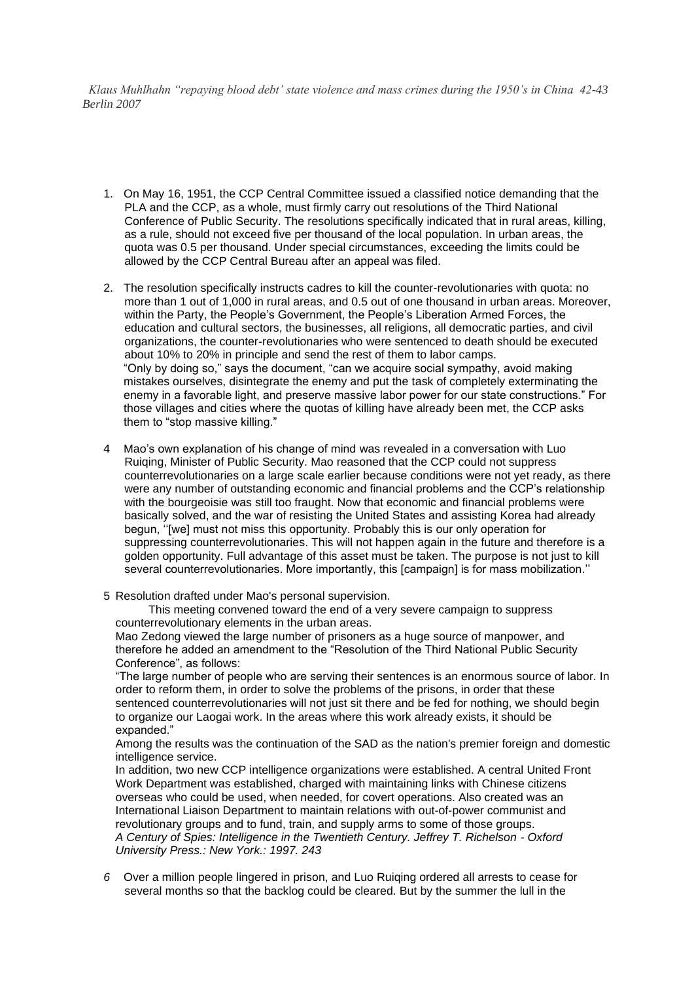*Klaus Muhlhahn "repaying blood debt' state violence and mass crimes during the 1950's in China 42-43 Berlin 2007*

- 1. On May 16, 1951, the CCP Central Committee issued a classified notice demanding that the PLA and the CCP, as a whole, must firmly carry out resolutions of the Third National Conference of Public Security. The resolutions specifically indicated that in rural areas, killing, as a rule, should not exceed five per thousand of the local population. In urban areas, the quota was 0.5 per thousand. Under special circumstances, exceeding the limits could be allowed by the CCP Central Bureau after an appeal was filed.
- 2. The resolution specifically instructs cadres to kill the counter-revolutionaries with quota: no more than 1 out of 1,000 in rural areas, and 0.5 out of one thousand in urban areas. Moreover, within the Party, the People's Government, the People's Liberation Armed Forces, the education and cultural sectors, the businesses, all religions, all democratic parties, and civil organizations, the counter-revolutionaries who were sentenced to death should be executed about 10% to 20% in principle and send the rest of them to labor camps. "Only by doing so," says the document, "can we acquire social sympathy, avoid making mistakes ourselves, disintegrate the enemy and put the task of completely exterminating the enemy in a favorable light, and preserve massive labor power for our state constructions." For those villages and cities where the quotas of killing have already been met, the CCP asks them to "stop massive killing."
- 4 Mao's own explanation of his change of mind was revealed in a conversation with Luo Ruiqing, Minister of Public Security. Mao reasoned that the CCP could not suppress counterrevolutionaries on a large scale earlier because conditions were not yet ready, as there were any number of outstanding economic and financial problems and the CCP's relationship with the bourgeoisie was still too fraught. Now that economic and financial problems were basically solved, and the war of resisting the United States and assisting Korea had already begun, ''[we] must not miss this opportunity. Probably this is our only operation for suppressing counterrevolutionaries. This will not happen again in the future and therefore is a golden opportunity. Full advantage of this asset must be taken. The purpose is not just to kill several counterrevolutionaries. More importantly, this [campaign] is for mass mobilization."

5 Resolution drafted under Mao's personal supervision.

This meeting convened toward the end of a very severe campaign to suppress counterrevolutionary elements in the urban areas.

Mao Zedong viewed the large number of prisoners as a huge source of manpower, and therefore he added an amendment to the "Resolution of the Third National Public Security Conference", as follows:

"The large number of people who are serving their sentences is an enormous source of labor. In order to reform them, in order to solve the problems of the prisons, in order that these sentenced counterrevolutionaries will not just sit there and be fed for nothing, we should begin to organize our Laogai work. In the areas where this work already exists, it should be expanded."

Among the results was the continuation of the SAD as the nation's premier foreign and domestic intelligence service.

In addition, two new CCP intelligence organizations were established. A central United Front Work Department was established, charged with maintaining links with Chinese citizens overseas who could be used, when needed, for covert operations. Also created was an International Liaison Department to maintain relations with out-of-power communist and revolutionary groups and to fund, train, and supply arms to some of those groups. *A Century of Spies: Intelligence in the Twentieth Century. Jeffrey T. Richelson - Oxford University Press.: New York.: 1997. 243*

*6* Over a million people lingered in prison, and Luo Ruiqing ordered all arrests to cease for several months so that the backlog could be cleared. But by the summer the lull in the